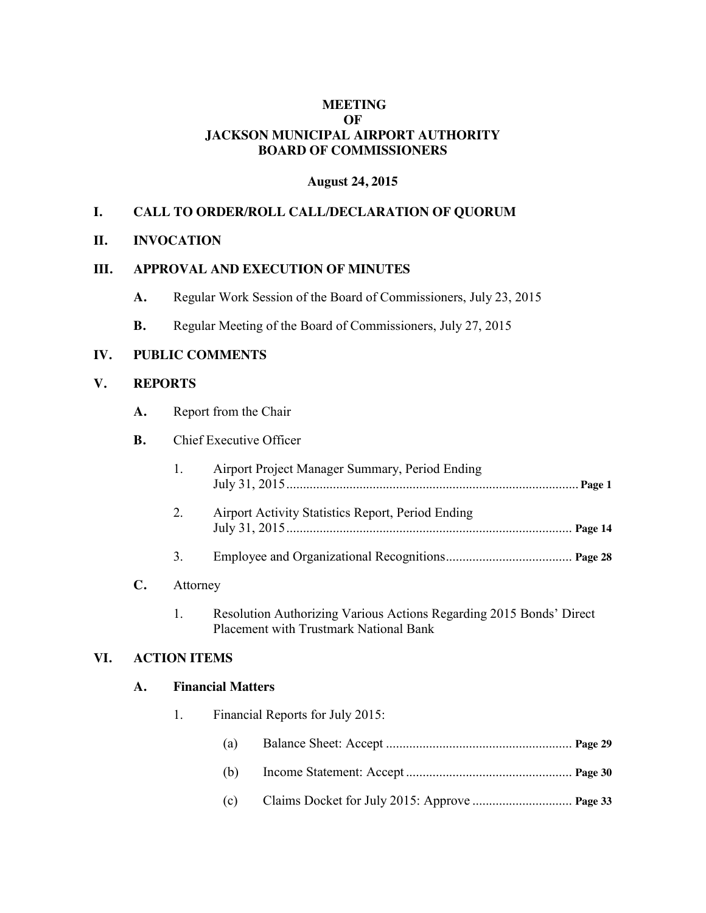# **MEETING OF JACKSON MUNICIPAL AIRPORT AUTHORITY BOARD OF COMMISSIONERS**

# **August 24, 2015**

# **I. CALL TO ORDER/ROLL CALL/DECLARATION OF QUORUM**

# **II. INVOCATION**

## **III. APPROVAL AND EXECUTION OF MINUTES**

- **A.** Regular Work Session of the Board of Commissioners, July 23, 2015
- **B.** Regular Meeting of the Board of Commissioners, July 27, 2015

# **IV. PUBLIC COMMENTS**

## **V. REPORTS**

**A.** Report from the Chair

# **B.** Chief Executive Officer

|    | Airport Project Manager Summary, Period Ending    |  |
|----|---------------------------------------------------|--|
|    | Airport Activity Statistics Report, Period Ending |  |
| 3. |                                                   |  |

# **C.** Attorney

1. Resolution Authorizing Various Actions Regarding 2015 Bonds' Direct Placement with Trustmark National Bank

#### **VI. ACTION ITEMS**

### **A. Financial Matters**

1. Financial Reports for July 2015: (a) Balance Sheet: Accept ........................................................ **Page 29** (b) Income Statement: Accept .................................................. **Page 30** (c) Claims Docket for July 2015: Approve .............................. **Page 33**